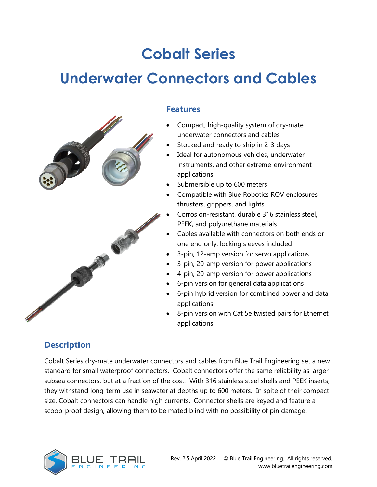# **Cobalt Series**

# **Underwater Connectors and Cables**



### **Features**

- Compact, high-quality system of dry-mate underwater connectors and cables
- Stocked and ready to ship in 2-3 days
- Ideal for autonomous vehicles, underwater instruments, and other extreme-environment applications
- Submersible up to 600 meters
- Compatible with Blue Robotics ROV enclosures, thrusters, grippers, and lights
- Corrosion-resistant, durable 316 stainless steel, PEEK, and polyurethane materials
- Cables available with connectors on both ends or one end only, locking sleeves included
- 3-pin, 12-amp version for servo applications
- 3-pin, 20-amp version for power applications
- 4-pin, 20-amp version for power applications
- 6-pin version for general data applications
- 6-pin hybrid version for combined power and data applications
- 8-pin version with Cat 5e twisted pairs for Ethernet applications

## **Description**

Cobalt Series dry-mate underwater connectors and cables from Blue Trail Engineering set a new standard for small waterproof connectors. Cobalt connectors offer the same reliability as larger subsea connectors, but at a fraction of the cost. With 316 stainless steel shells and PEEK inserts, they withstand long-term use in seawater at depths up to 600 meters. In spite of their compact size, Cobalt connectors can handle high currents. Connector shells are keyed and feature a scoop-proof design, allowing them to be mated blind with no possibility of pin damage.

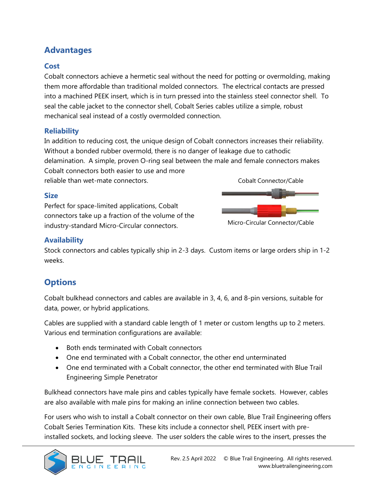## **Advantages**

#### **Cost**

Cobalt connectors achieve a hermetic seal without the need for potting or overmolding, making them more affordable than traditional molded connectors. The electrical contacts are pressed into a machined PEEK insert, which is in turn pressed into the stainless steel connector shell. To seal the cable jacket to the connector shell, Cobalt Series cables utilize a simple, robust mechanical seal instead of a costly overmolded connection.

#### **Reliability**

In addition to reducing cost, the unique design of Cobalt connectors increases their reliability. Without a bonded rubber overmold, there is no danger of leakage due to cathodic delamination. A simple, proven O-ring seal between the male and female connectors makes Cobalt connectors both easier to use and more

reliable than wet-mate connectors.

#### **Size**

Perfect for space-limited applications, Cobalt connectors take up a fraction of the volume of the industry-standard Micro-Circular connectors.



Micro-Circular Connector/Cable

#### **Availability**

Stock connectors and cables typically ship in 2-3 days. Custom items or large orders ship in 1-2 weeks.

## **Options**

Cobalt bulkhead connectors and cables are available in 3, 4, 6, and 8-pin versions, suitable for data, power, or hybrid applications.

Cables are supplied with a standard cable length of 1 meter or custom lengths up to 2 meters. Various end termination configurations are available:

- Both ends terminated with Cobalt connectors
- One end terminated with a Cobalt connector, the other end unterminated
- One end terminated with a Cobalt connector, the other end terminated with Blue Trail Engineering Simple Penetrator

Bulkhead connectors have male pins and cables typically have female sockets. However, cables are also available with male pins for making an inline connection between two cables.

For users who wish to install a Cobalt connector on their own cable, Blue Trail Engineering offers Cobalt Series Termination Kits. These kits include a connector shell, PEEK insert with preinstalled sockets, and locking sleeve. The user solders the cable wires to the insert, presses the

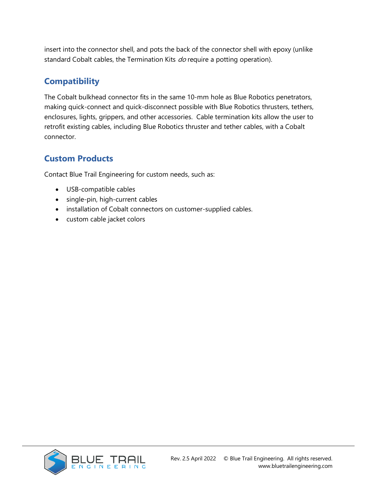insert into the connector shell, and pots the back of the connector shell with epoxy (unlike standard Cobalt cables, the Termination Kits do require a potting operation).

## **Compatibility**

The Cobalt bulkhead connector fits in the same 10-mm hole as Blue Robotics penetrators, making quick-connect and quick-disconnect possible with Blue Robotics thrusters, tethers, enclosures, lights, grippers, and other accessories. Cable termination kits allow the user to retrofit existing cables, including Blue Robotics thruster and tether cables, with a Cobalt connector.

## **Custom Products**

Contact Blue Trail Engineering for custom needs, such as:

- USB-compatible cables
- single-pin, high-current cables
- installation of Cobalt connectors on customer-supplied cables.
- custom cable jacket colors

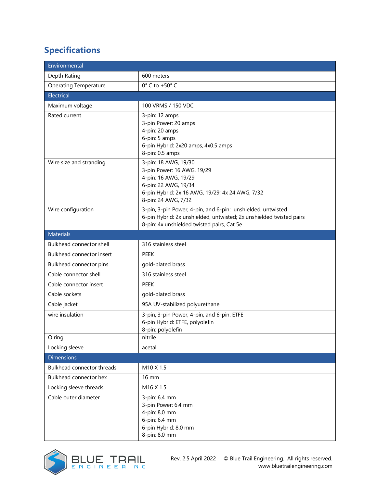# **Specifications**

| Environmental                |                                                                                                                                                                                  |  |
|------------------------------|----------------------------------------------------------------------------------------------------------------------------------------------------------------------------------|--|
| Depth Rating                 | 600 meters                                                                                                                                                                       |  |
| <b>Operating Temperature</b> | $0^\circ$ C to +50 $^\circ$ C                                                                                                                                                    |  |
| Electrical                   |                                                                                                                                                                                  |  |
| Maximum voltage              | 100 VRMS / 150 VDC                                                                                                                                                               |  |
| Rated current                | 3-pin: 12 amps<br>3-pin Power: 20 amps<br>4-pin: 20 amps<br>6-pin: 5 amps<br>6-pin Hybrid: 2x20 amps, 4x0.5 amps<br>8-pin: 0.5 amps                                              |  |
| Wire size and stranding      | 3-pin: 18 AWG, 19/30<br>3-pin Power: 16 AWG, 19/29<br>4-pin: 16 AWG, 19/29<br>6-pin: 22 AWG, 19/34<br>6-pin Hybrid: 2x 16 AWG, 19/29; 4x 24 AWG, 7/32<br>8-pin: 24 AWG, 7/32     |  |
| Wire configuration           | 3-pin, 3-pin Power, 4-pin, and 6-pin: unshielded, untwisted<br>6-pin Hybrid: 2x unshielded, untwisted; 2x unshielded twisted pairs<br>8-pin: 4x unshielded twisted pairs, Cat 5e |  |
| <b>Materials</b>             |                                                                                                                                                                                  |  |
| Bulkhead connector shell     | 316 stainless steel                                                                                                                                                              |  |
| Bulkhead connector insert    | <b>PEEK</b>                                                                                                                                                                      |  |
| Bulkhead connector pins      | gold-plated brass                                                                                                                                                                |  |
| Cable connector shell        | 316 stainless steel                                                                                                                                                              |  |
| Cable connector insert       | <b>PEEK</b>                                                                                                                                                                      |  |
| Cable sockets                | gold-plated brass                                                                                                                                                                |  |
| Cable jacket                 | 95A UV-stabilized polyurethane                                                                                                                                                   |  |
| wire insulation              | 3-pin, 3-pin Power, 4-pin, and 6-pin: ETFE<br>6-pin Hybrid: ETFE, polyolefin<br>8-pin: polyolefin                                                                                |  |
| O ring                       | nitrile                                                                                                                                                                          |  |
| Locking sleeve               | acetal                                                                                                                                                                           |  |
| <b>Dimensions</b>            |                                                                                                                                                                                  |  |
| Bulkhead connector threads   | M <sub>10</sub> X 1.5                                                                                                                                                            |  |
| Bulkhead connector hex       | 16 mm                                                                                                                                                                            |  |
| Locking sleeve threads       | M16 X 1.5                                                                                                                                                                        |  |
| Cable outer diameter         | 3-pin: 6.4 mm<br>3-pin Power: 6.4 mm<br>4-pin: 8.0 mm<br>6-pin: 6.4 mm<br>6-pin Hybrid: 8.0 mm<br>8-pin: 8.0 mm                                                                  |  |

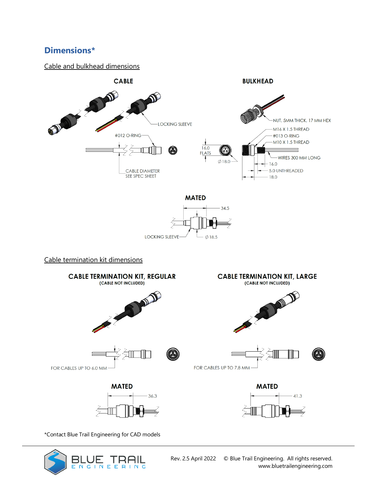## **Dimensions\***

#### Cable and bulkhead dimensions



\*Contact Blue Trail Engineering for CAD models

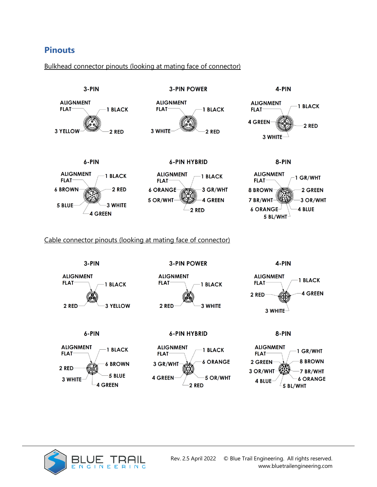## **Pinouts**

#### Bulkhead connector pinouts (looking at mating face of connector)



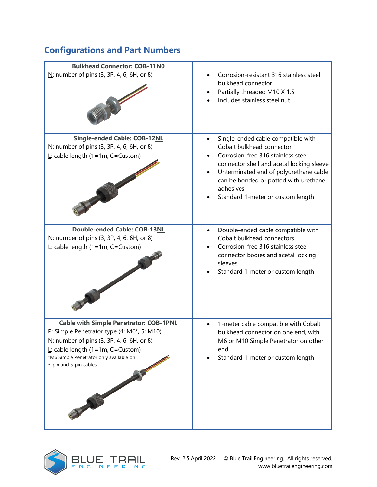# **Configurations and Part Numbers**

| <b>Bulkhead Connector: COB-11N0</b>                                                                                                                                                                                                                     |                                                                                                                                                                                                                                                                                                      |
|---------------------------------------------------------------------------------------------------------------------------------------------------------------------------------------------------------------------------------------------------------|------------------------------------------------------------------------------------------------------------------------------------------------------------------------------------------------------------------------------------------------------------------------------------------------------|
| $N$ : number of pins (3, 3P, 4, 6, 6H, or 8)                                                                                                                                                                                                            | Corrosion-resistant 316 stainless steel<br>bulkhead connector<br>Partially threaded M10 X 1.5<br>Includes stainless steel nut                                                                                                                                                                        |
| <b>Single-ended Cable: COB-12NL</b><br>$N$ : number of pins (3, 3P, 4, 6, 6H, or 8)<br>$L$ : cable length (1=1m, C=Custom)                                                                                                                              | Single-ended cable compatible with<br>$\bullet$<br>Cobalt bulkhead connector<br>Corrosion-free 316 stainless steel<br>connector shell and acetal locking sleeve<br>Unterminated end of polyurethane cable<br>can be bonded or potted with urethane<br>adhesives<br>Standard 1-meter or custom length |
| <b>Double-ended Cable: COB-13NL</b><br>$N$ : number of pins (3, 3P, 4, 6, 6H, or 8)<br>$L$ : cable length (1=1m, C=Custom)                                                                                                                              | Double-ended cable compatible with<br>$\bullet$<br>Cobalt bulkhead connectors<br>Corrosion-free 316 stainless steel<br>connector bodies and acetal locking<br>sleeves<br>Standard 1-meter or custom length                                                                                           |
| <b>Cable with Simple Penetrator: COB-1PNL</b><br>P: Simple Penetrator type (4: M6*, 5: M10)<br>$N$ : number of pins (3, 3P, 4, 6, 6H, or 8)<br>$L$ : cable length (1=1m, C=Custom)<br>*M6 Simple Penetrator only available on<br>3-pin and 6-pin cables | 1-meter cable compatible with Cobalt<br>bulkhead connector on one end, with<br>M6 or M10 Simple Penetrator on other<br>end<br>Standard 1-meter or custom length                                                                                                                                      |

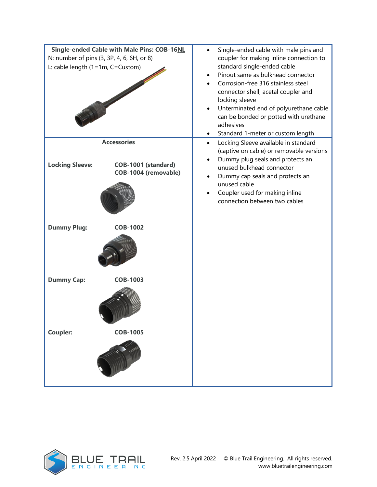